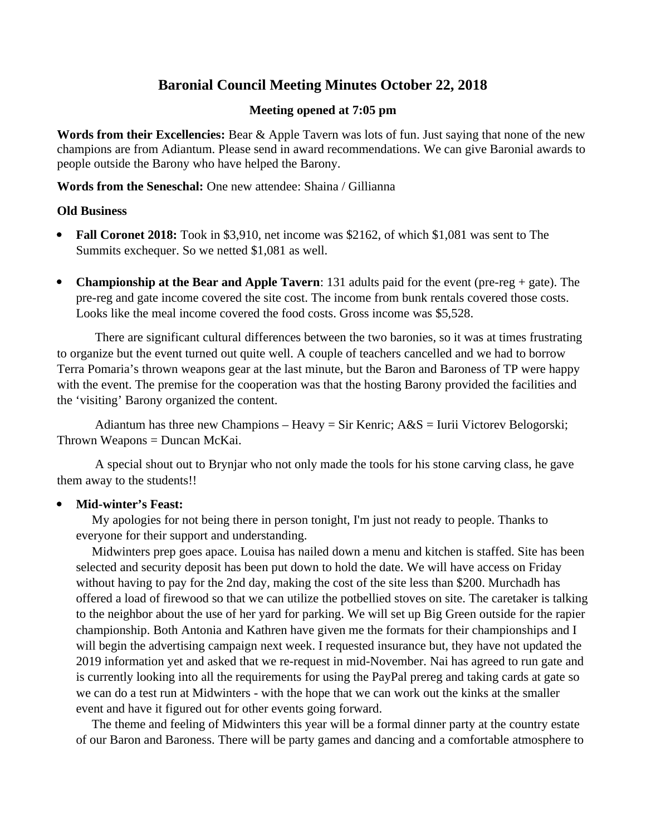# **Baronial Council Meeting Minutes October 22, 2018**

#### **Meeting opened at 7:05 pm**

**Words from their Excellencies:** Bear & Apple Tavern was lots of fun. Just saying that none of the new champions are from Adiantum. Please send in award recommendations. We can give Baronial awards to people outside the Barony who have helped the Barony.

**Words from the Seneschal:** One new attendee: Shaina / Gillianna

#### **Old Business**

- **Fall Coronet 2018:** Took in \$3,910, net income was \$2162, of which \$1,081 was sent to The Summits exchequer. So we netted \$1,081 as well.
- **Championship at the Bear and Apple Tavern**: 131 adults paid for the event (pre-reg + gate). The pre-reg and gate income covered the site cost. The income from bunk rentals covered those costs. Looks like the meal income covered the food costs. Gross income was \$5,528.

There are significant cultural differences between the two baronies, so it was at times frustrating to organize but the event turned out quite well. A couple of teachers cancelled and we had to borrow Terra Pomaria's thrown weapons gear at the last minute, but the Baron and Baroness of TP were happy with the event. The premise for the cooperation was that the hosting Barony provided the facilities and the 'visiting' Barony organized the content.

Adiantum has three new Champions – Heavy = Sir Kenric; A&S = Iurii Victorev Belogorski; Thrown Weapons = Duncan McKai.

A special shout out to Brynjar who not only made the tools for his stone carving class, he gave them away to the students!!

### **Mid-winter's Feast:**

 My apologies for not being there in person tonight, I'm just not ready to people. Thanks to everyone for their support and understanding.

 Midwinters prep goes apace. Louisa has nailed down a menu and kitchen is staffed. Site has been selected and security deposit has been put down to hold the date. We will have access on Friday without having to pay for the 2nd day, making the cost of the site less than \$200. Murchadh has offered a load of firewood so that we can utilize the potbellied stoves on site. The caretaker is talking to the neighbor about the use of her yard for parking. We will set up Big Green outside for the rapier championship. Both Antonia and Kathren have given me the formats for their championships and I will begin the advertising campaign next week. I requested insurance but, they have not updated the 2019 information yet and asked that we re-request in mid-November. Nai has agreed to run gate and is currently looking into all the requirements for using the PayPal prereg and taking cards at gate so we can do a test run at Midwinters - with the hope that we can work out the kinks at the smaller event and have it figured out for other events going forward.

 The theme and feeling of Midwinters this year will be a formal dinner party at the country estate of our Baron and Baroness. There will be party games and dancing and a comfortable atmosphere to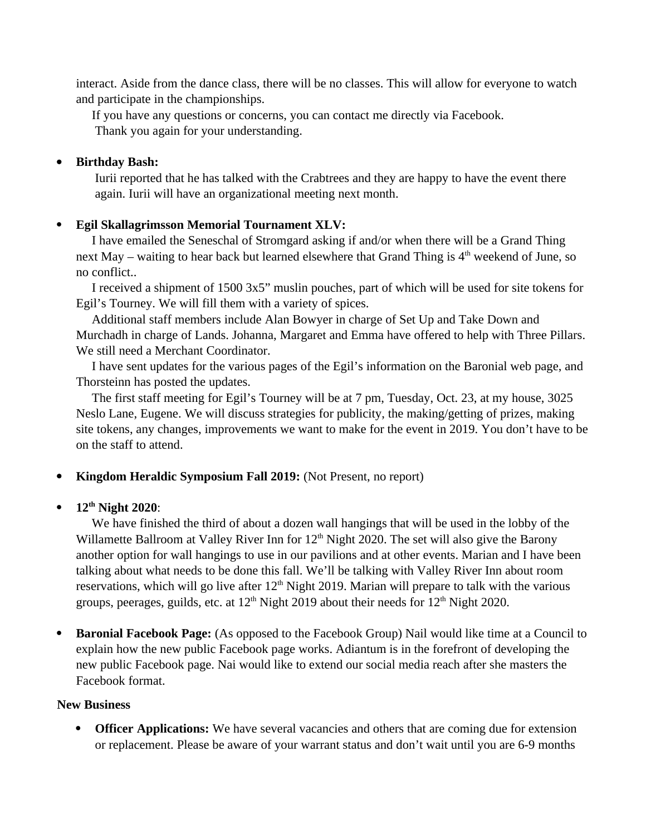interact. Aside from the dance class, there will be no classes. This will allow for everyone to watch and participate in the championships.

 If you have any questions or concerns, you can contact me directly via Facebook. Thank you again for your understanding.

#### **Birthday Bash:**

Iurii reported that he has talked with the Crabtrees and they are happy to have the event there again. Iurii will have an organizational meeting next month.

#### **Egil Skallagrimsson Memorial Tournament XLV:**

 I have emailed the Seneschal of Stromgard asking if and/or when there will be a Grand Thing next May – waiting to hear back but learned elsewhere that Grand Thing is  $4<sup>th</sup>$  weekend of June, so no conflict..

 I received a shipment of 1500 3x5" muslin pouches, part of which will be used for site tokens for Egil's Tourney. We will fill them with a variety of spices.

 Additional staff members include Alan Bowyer in charge of Set Up and Take Down and Murchadh in charge of Lands. Johanna, Margaret and Emma have offered to help with Three Pillars. We still need a Merchant Coordinator.

 I have sent updates for the various pages of the Egil's information on the Baronial web page, and Thorsteinn has posted the updates.

 The first staff meeting for Egil's Tourney will be at 7 pm, Tuesday, Oct. 23, at my house, 3025 Neslo Lane, Eugene. We will discuss strategies for publicity, the making/getting of prizes, making site tokens, any changes, improvements we want to make for the event in 2019. You don't have to be on the staff to attend.

- **Kingdom Heraldic Symposium Fall 2019:** (Not Present, no report)
- **12th Night 2020**:

 We have finished the third of about a dozen wall hangings that will be used in the lobby of the Willamette Ballroom at Valley River Inn for 12<sup>th</sup> Night 2020. The set will also give the Barony another option for wall hangings to use in our pavilions and at other events. Marian and I have been talking about what needs to be done this fall. We'll be talking with Valley River Inn about room reservations, which will go live after  $12<sup>th</sup>$  Night 2019. Marian will prepare to talk with the various groups, peerages, guilds, etc. at  $12<sup>th</sup>$  Night 2019 about their needs for  $12<sup>th</sup>$  Night 2020.

 **Baronial Facebook Page:** (As opposed to the Facebook Group) Nail would like time at a Council to explain how the new public Facebook page works. Adiantum is in the forefront of developing the new public Facebook page. Nai would like to extend our social media reach after she masters the Facebook format.

#### **New Business**

 **Officer Applications:** We have several vacancies and others that are coming due for extension or replacement. Please be aware of your warrant status and don't wait until you are 6-9 months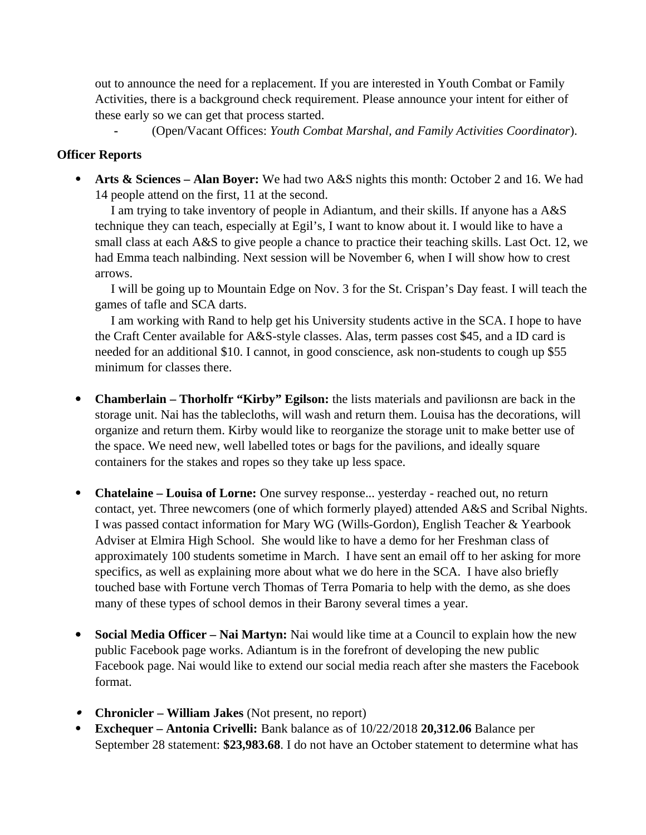out to announce the need for a replacement. If you are interested in Youth Combat or Family Activities, there is a background check requirement. Please announce your intent for either of these early so we can get that process started.

**-** (Open/Vacant Offices: *Youth Combat Marshal, and Family Activities Coordinator*).

### **Officer Reports**

 **Arts & Sciences – Alan Boyer:** We had two A&S nights this month: October 2 and 16. We had 14 people attend on the first, 11 at the second.

 I am trying to take inventory of people in Adiantum, and their skills. If anyone has a A&S technique they can teach, especially at Egil's, I want to know about it. I would like to have a small class at each A&S to give people a chance to practice their teaching skills. Last Oct. 12, we had Emma teach nalbinding. Next session will be November 6, when I will show how to crest arrows.

 I will be going up to Mountain Edge on Nov. 3 for the St. Crispan's Day feast. I will teach the games of tafle and SCA darts.

 I am working with Rand to help get his University students active in the SCA. I hope to have the Craft Center available for A&S-style classes. Alas, term passes cost \$45, and a ID card is needed for an additional \$10. I cannot, in good conscience, ask non-students to cough up \$55 minimum for classes there.

- **Chamberlain Thorholfr "Kirby" Egilson:** the lists materials and pavilionsn are back in the storage unit. Nai has the tablecloths, will wash and return them. Louisa has the decorations, will organize and return them. Kirby would like to reorganize the storage unit to make better use of the space. We need new, well labelled totes or bags for the pavilions, and ideally square containers for the stakes and ropes so they take up less space.
- **Chatelaine Louisa of Lorne:** One survey response... yesterday reached out, no return contact, yet. Three newcomers (one of which formerly played) attended A&S and Scribal Nights. I was passed contact information for Mary WG (Wills-Gordon), English Teacher & Yearbook Adviser at Elmira High School. She would like to have a demo for her Freshman class of approximately 100 students sometime in March. I have sent an email off to her asking for more specifics, as well as explaining more about what we do here in the SCA. I have also briefly touched base with Fortune verch Thomas of Terra Pomaria to help with the demo, as she does many of these types of school demos in their Barony several times a year.
- **Social Media Officer Nai Martyn:** Nai would like time at a Council to explain how the new public Facebook page works. Adiantum is in the forefront of developing the new public Facebook page. Nai would like to extend our social media reach after she masters the Facebook format.
- **Chronicler William Jakes** (Not present, no report)
- **Exchequer Antonia Crivelli:** Bank balance as of 10/22/2018 **20,312.06** Balance per September 28 statement: **\$23,983.68**. I do not have an October statement to determine what has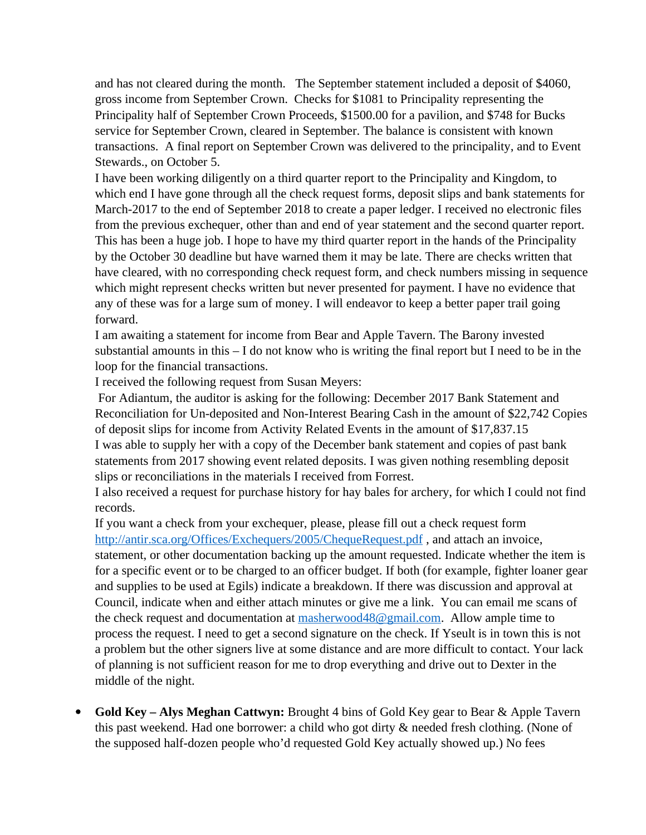and has not cleared during the month. The September statement included a deposit of \$4060, gross income from September Crown. Checks for \$1081 to Principality representing the Principality half of September Crown Proceeds, \$1500.00 for a pavilion, and \$748 for Bucks service for September Crown, cleared in September. The balance is consistent with known transactions. A final report on September Crown was delivered to the principality, and to Event Stewards., on October 5.

I have been working diligently on a third quarter report to the Principality and Kingdom, to which end I have gone through all the check request forms, deposit slips and bank statements for March-2017 to the end of September 2018 to create a paper ledger. I received no electronic files from the previous exchequer, other than and end of year statement and the second quarter report. This has been a huge job. I hope to have my third quarter report in the hands of the Principality by the October 30 deadline but have warned them it may be late. There are checks written that have cleared, with no corresponding check request form, and check numbers missing in sequence which might represent checks written but never presented for payment. I have no evidence that any of these was for a large sum of money. I will endeavor to keep a better paper trail going forward.

I am awaiting a statement for income from Bear and Apple Tavern. The Barony invested substantial amounts in this – I do not know who is writing the final report but I need to be in the loop for the financial transactions.

I received the following request from Susan Meyers:

 For Adiantum, the auditor is asking for the following: December 2017 Bank Statement and Reconciliation for Un-deposited and Non-Interest Bearing Cash in the amount of \$22,742 Copies of deposit slips for income from Activity Related Events in the amount of \$17,837.15 I was able to supply her with a copy of the December bank statement and copies of past bank statements from 2017 showing event related deposits. I was given nothing resembling deposit slips or reconciliations in the materials I received from Forrest.

I also received a request for purchase history for hay bales for archery, for which I could not find records.

If you want a check from your exchequer, please, please fill out a check request form http://antir.sca.org/Offices/Exchequers/2005/ChequeRequest.pdf, and attach an invoice, statement, or other documentation backing up the amount requested. Indicate whether the item is for a specific event or to be charged to an officer budget. If both (for example, fighter loaner gear and supplies to be used at Egils) indicate a breakdown. If there was discussion and approval at Council, indicate when and either attach minutes or give me a link. You can email me scans of the check request and documentation at [masherwood48@gmail.com.](mailto:masherwood48@gmail.com) Allow ample time to process the request. I need to get a second signature on the check. If Yseult is in town this is not a problem but the other signers live at some distance and are more difficult to contact. Your lack of planning is not sufficient reason for me to drop everything and drive out to Dexter in the middle of the night.

 **Gold Key – Alys Meghan Cattwyn:** Brought 4 bins of Gold Key gear to Bear & Apple Tavern this past weekend. Had one borrower: a child who got dirty & needed fresh clothing. (None of the supposed half-dozen people who'd requested Gold Key actually showed up.) No fees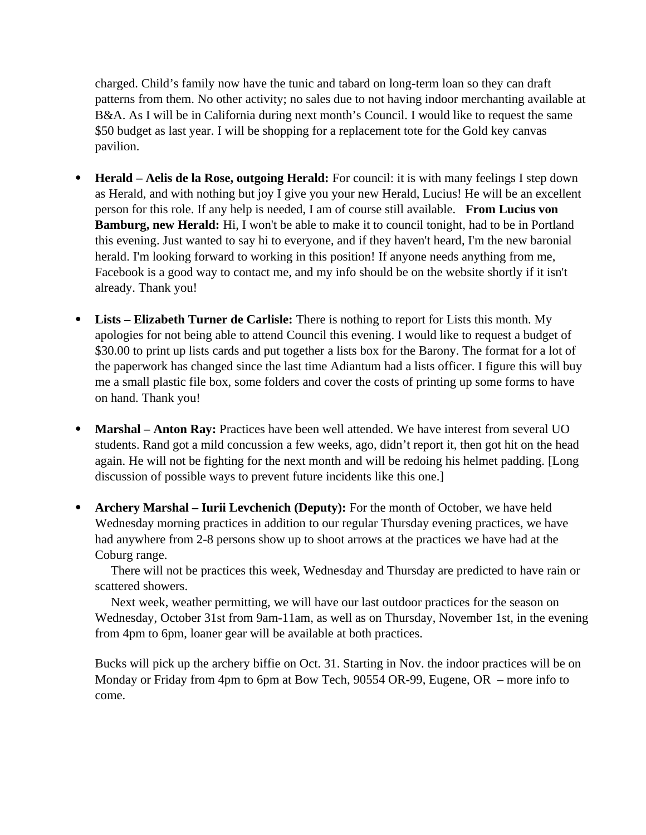charged. Child's family now have the tunic and tabard on long-term loan so they can draft patterns from them. No other activity; no sales due to not having indoor merchanting available at B&A. As I will be in California during next month's Council. I would like to request the same \$50 budget as last year. I will be shopping for a replacement tote for the Gold key canvas pavilion.

- **Herald Aelis de la Rose, outgoing Herald:** For council: it is with many feelings I step down as Herald, and with nothing but joy I give you your new Herald, Lucius! He will be an excellent person for this role. If any help is needed, I am of course still available. **From Lucius von Bamburg, new Herald:** Hi, I won't be able to make it to council tonight, had to be in Portland this evening. Just wanted to say hi to everyone, and if they haven't heard, I'm the new baronial herald. I'm looking forward to working in this position! If anyone needs anything from me, Facebook is a good way to contact me, and my info should be on the website shortly if it isn't already. Thank you!
- **Lists Elizabeth Turner de Carlisle:** There is nothing to report for Lists this month. My apologies for not being able to attend Council this evening. I would like to request a budget of \$30.00 to print up lists cards and put together a lists box for the Barony. The format for a lot of the paperwork has changed since the last time Adiantum had a lists officer. I figure this will buy me a small plastic file box, some folders and cover the costs of printing up some forms to have on hand. Thank you!
- **Marshal Anton Ray:** Practices have been well attended. We have interest from several UO students. Rand got a mild concussion a few weeks, ago, didn't report it, then got hit on the head again. He will not be fighting for the next month and will be redoing his helmet padding. [Long discussion of possible ways to prevent future incidents like this one.]
- **Archery Marshal Iurii Levchenich (Deputy):** For the month of October, we have held Wednesday morning practices in addition to our regular Thursday evening practices, we have had anywhere from 2-8 persons show up to shoot arrows at the practices we have had at the Coburg range.

 There will not be practices this week, Wednesday and Thursday are predicted to have rain or scattered showers.

 Next week, weather permitting, we will have our last outdoor practices for the season on Wednesday, October 31st from 9am-11am, as well as on Thursday, November 1st, in the evening from 4pm to 6pm, loaner gear will be available at both practices.

Bucks will pick up the archery biffie on Oct. 31. Starting in Nov. the indoor practices will be on Monday or Friday from 4pm to 6pm at Bow Tech, 90554 OR-99, Eugene, OR – more info to come.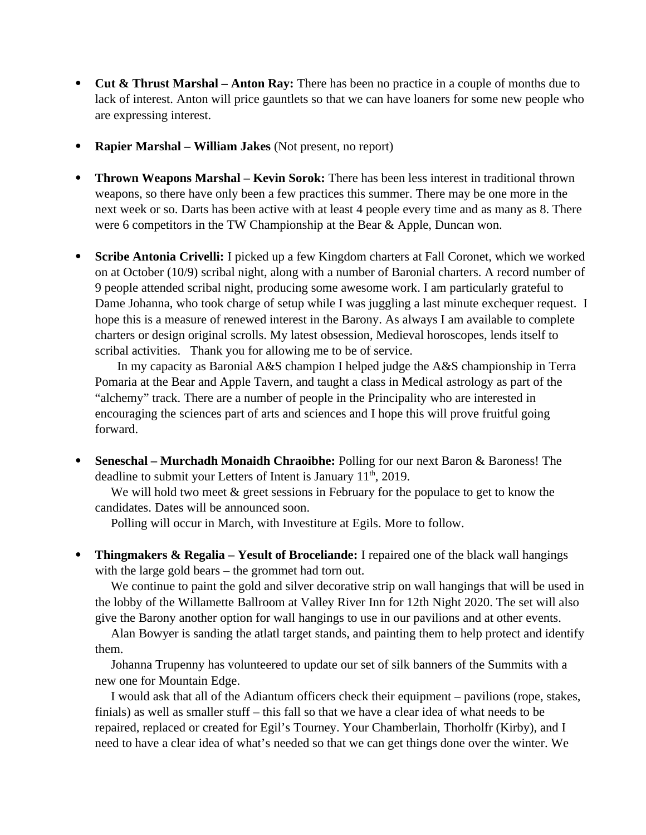- **Cut & Thrust Marshal Anton Ray:** There has been no practice in a couple of months due to lack of interest. Anton will price gauntlets so that we can have loaners for some new people who are expressing interest.
- **Rapier Marshal William Jakes** (Not present, no report)
- **Thrown Weapons Marshal Kevin Sorok:** There has been less interest in traditional thrown weapons, so there have only been a few practices this summer. There may be one more in the next week or so. Darts has been active with at least 4 people every time and as many as 8. There were 6 competitors in the TW Championship at the Bear & Apple, Duncan won.
- **Scribe Antonia Crivelli:** I picked up a few Kingdom charters at Fall Coronet, which we worked on at October (10/9) scribal night, along with a number of Baronial charters. A record number of 9 people attended scribal night, producing some awesome work. I am particularly grateful to Dame Johanna, who took charge of setup while I was juggling a last minute exchequer request. I hope this is a measure of renewed interest in the Barony. As always I am available to complete charters or design original scrolls. My latest obsession, Medieval horoscopes, lends itself to scribal activities. Thank you for allowing me to be of service.

In my capacity as Baronial A&S champion I helped judge the A&S championship in Terra Pomaria at the Bear and Apple Tavern, and taught a class in Medical astrology as part of the "alchemy" track. There are a number of people in the Principality who are interested in encouraging the sciences part of arts and sciences and I hope this will prove fruitful going forward.

 **Seneschal – Murchadh Monaidh Chraoibhe:** Polling for our next Baron & Baroness! The deadline to submit your Letters of Intent is January 11<sup>th</sup>, 2019.

 We will hold two meet & greet sessions in February for the populace to get to know the candidates. Dates will be announced soon.

Polling will occur in March, with Investiture at Egils. More to follow.

 **Thingmakers & Regalia – Yesult of Broceliande:** I repaired one of the black wall hangings with the large gold bears – the grommet had torn out.

 We continue to paint the gold and silver decorative strip on wall hangings that will be used in the lobby of the Willamette Ballroom at Valley River Inn for 12th Night 2020. The set will also give the Barony another option for wall hangings to use in our pavilions and at other events.

 Alan Bowyer is sanding the atlatl target stands, and painting them to help protect and identify them.

 Johanna Trupenny has volunteered to update our set of silk banners of the Summits with a new one for Mountain Edge.

 I would ask that all of the Adiantum officers check their equipment – pavilions (rope, stakes, finials) as well as smaller stuff – this fall so that we have a clear idea of what needs to be repaired, replaced or created for Egil's Tourney. Your Chamberlain, Thorholfr (Kirby), and I need to have a clear idea of what's needed so that we can get things done over the winter. We